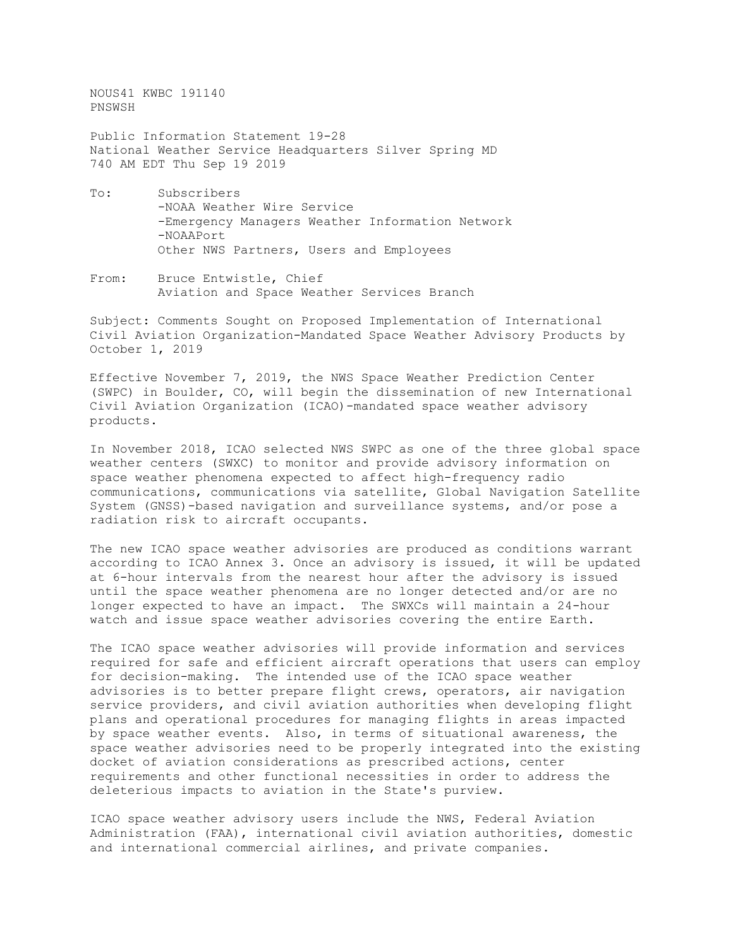NOUS41 KWBC 191140 PNSWSH

Public Information Statement 19-28 National Weather Service Headquarters Silver Spring MD 740 AM EDT Thu Sep 19 2019

- To: Subscribers -NOAA Weather Wire Service -Emergency Managers Weather Information Network -NOAAPort Other NWS Partners, Users and Employees
- From: Bruce Entwistle, Chief Aviation and Space Weather Services Branch

Subject: Comments Sought on Proposed Implementation of International Civil Aviation Organization-Mandated Space Weather Advisory Products by October 1, 2019

Effective November 7, 2019, the NWS Space Weather Prediction Center (SWPC) in Boulder, CO, will begin the dissemination of new International Civil Aviation Organization (ICAO)-mandated space weather advisory products.

In November 2018, ICAO selected NWS SWPC as one of the three global space weather centers (SWXC) to monitor and provide advisory information on space weather phenomena expected to affect high-frequency radio communications, communications via satellite, Global Navigation Satellite System (GNSS)-based navigation and surveillance systems, and/or pose a radiation risk to aircraft occupants.

The new ICAO space weather advisories are produced as conditions warrant according to ICAO Annex 3. Once an advisory is issued, it will be updated at 6-hour intervals from the nearest hour after the advisory is issued until the space weather phenomena are no longer detected and/or are no longer expected to have an impact. The SWXCs will maintain a 24-hour watch and issue space weather advisories covering the entire Earth.

The ICAO space weather advisories will provide information and services required for safe and efficient aircraft operations that users can employ for decision-making. The intended use of the ICAO space weather advisories is to better prepare flight crews, operators, air navigation service providers, and civil aviation authorities when developing flight plans and operational procedures for managing flights in areas impacted by space weather events. Also, in terms of situational awareness, the space weather advisories need to be properly integrated into the existing docket of aviation considerations as prescribed actions, center requirements and other functional necessities in order to address the deleterious impacts to aviation in the State's purview.

ICAO space weather advisory users include the NWS, Federal Aviation Administration (FAA), international civil aviation authorities, domestic and international commercial airlines, and private companies.